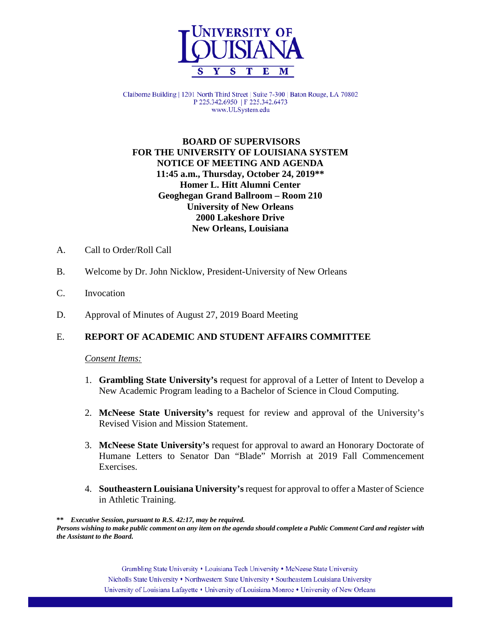

Claiborne Building | 1201 North Third Street | Suite 7-300 | Baton Rouge, LA 70802 P 225.342.6950 | F 225.342.6473 www.ULSystem.edu

## **BOARD OF SUPERVISORS FOR THE UNIVERSITY OF LOUISIANA SYSTEM NOTICE OF MEETING AND AGENDA 11:45 a.m., Thursday, October 24, 2019\*\* Homer L. Hitt Alumni Center Geoghegan Grand Ballroom – Room 210 University of New Orleans 2000 Lakeshore Drive New Orleans, Louisiana**

- A. Call to Order/Roll Call
- B. Welcome by Dr. John Nicklow, President-University of New Orleans
- C. Invocation
- D. Approval of Minutes of August 27, 2019 Board Meeting

### E. **REPORT OF ACADEMIC AND STUDENT AFFAIRS COMMITTEE**

#### *Consent Items:*

- 1. **Grambling State University's** request for approval of a Letter of Intent to Develop a New Academic Program leading to a Bachelor of Science in Cloud Computing.
- 2. **McNeese State University's** request for review and approval of the University's Revised Vision and Mission Statement.
- 3. **McNeese State University's** request for approval to award an Honorary Doctorate of Humane Letters to Senator Dan "Blade" Morrish at 2019 Fall Commencement Exercises.
- 4. **Southeastern Louisiana University's**request for approval to offer a Master of Science in Athletic Training.

**\*\*** *Executive Session, pursuant to R.S. 42:17, may be required. Persons wishing to make public comment on any item on the agenda should complete a Public Comment Card and register with the Assistant to the Board.*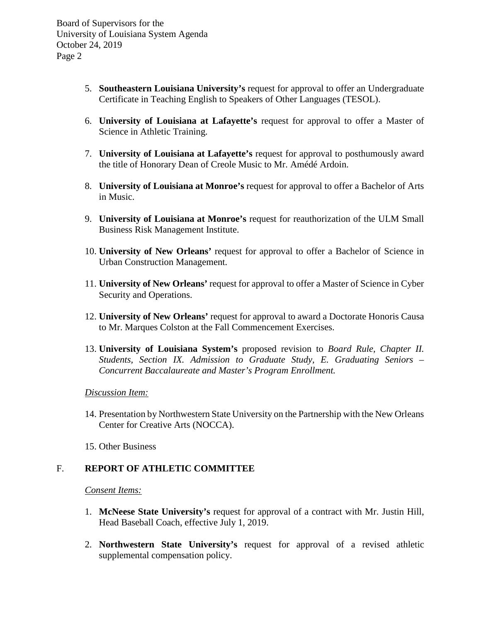- 5. **Southeastern Louisiana University's** request for approval to offer an Undergraduate Certificate in Teaching English to Speakers of Other Languages (TESOL).
- 6. **University of Louisiana at Lafayette's** request for approval to offer a Master of Science in Athletic Training.
- 7. **University of Louisiana at Lafayette's** request for approval to posthumously award the title of Honorary Dean of Creole Music to Mr. Amédé Ardoin.
- 8. **University of Louisiana at Monroe's** request for approval to offer a Bachelor of Arts in Music.
- 9. **University of Louisiana at Monroe's** request for reauthorization of the ULM Small Business Risk Management Institute.
- 10. **University of New Orleans'** request for approval to offer a Bachelor of Science in Urban Construction Management.
- 11. **University of New Orleans'** request for approval to offer a Master of Science in Cyber Security and Operations.
- 12. **University of New Orleans'** request for approval to award a Doctorate Honoris Causa to Mr. Marques Colston at the Fall Commencement Exercises.
- 13. **University of Louisiana System's** proposed revision to *Board Rule, Chapter II. Students, Section IX. Admission to Graduate Study, E. Graduating Seniors – Concurrent Baccalaureate and Master's Program Enrollment.*

*Discussion Item:*

14. Presentation by Northwestern State University on the Partnership with the New Orleans Center for Creative Arts (NOCCA).

15. Other Business

# F. **REPORT OF ATHLETIC COMMITTEE**

*Consent Items:*

- 1. **McNeese State University's** request for approval of a contract with Mr. Justin Hill, Head Baseball Coach, effective July 1, 2019.
- 2. **Northwestern State University's** request for approval of a revised athletic supplemental compensation policy.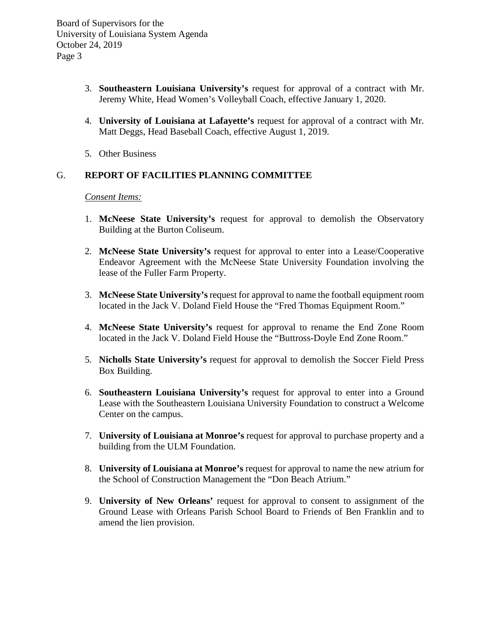- 3. **Southeastern Louisiana University's** request for approval of a contract with Mr. Jeremy White, Head Women's Volleyball Coach, effective January 1, 2020.
- 4. **University of Louisiana at Lafayette's** request for approval of a contract with Mr. Matt Deggs, Head Baseball Coach, effective August 1, 2019.
- 5. Other Business

# G. **REPORT OF FACILITIES PLANNING COMMITTEE**

*Consent Items:*

- 1. **McNeese State University's** request for approval to demolish the Observatory Building at the Burton Coliseum.
- 2. **McNeese State University's** request for approval to enter into a Lease/Cooperative Endeavor Agreement with the McNeese State University Foundation involving the lease of the Fuller Farm Property.
- 3. **McNeese State University's** request for approval to name the football equipment room located in the Jack V. Doland Field House the "Fred Thomas Equipment Room."
- 4. **McNeese State University's** request for approval to rename the End Zone Room located in the Jack V. Doland Field House the "Buttross-Doyle End Zone Room."
- 5. **Nicholls State University's** request for approval to demolish the Soccer Field Press Box Building.
- 6. **Southeastern Louisiana University's** request for approval to enter into a Ground Lease with the Southeastern Louisiana University Foundation to construct a Welcome Center on the campus.
- 7. **University of Louisiana at Monroe's** request for approval to purchase property and a building from the ULM Foundation.
- 8. **University of Louisiana at Monroe's** request for approval to name the new atrium for the School of Construction Management the "Don Beach Atrium."
- 9. **University of New Orleans'** request for approval to consent to assignment of the Ground Lease with Orleans Parish School Board to Friends of Ben Franklin and to amend the lien provision.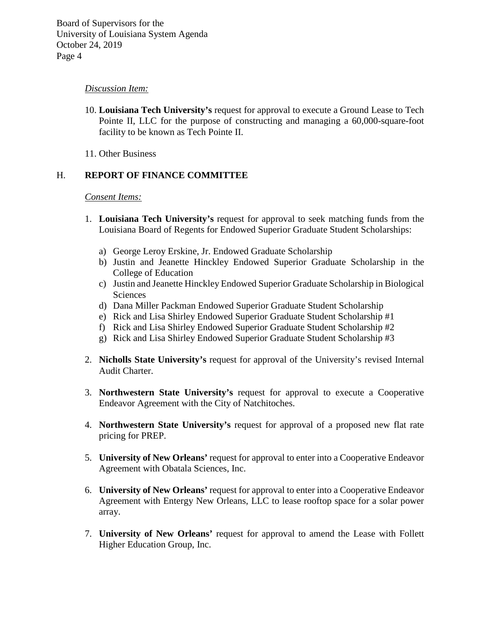### *Discussion Item:*

- 10. **Louisiana Tech University's** request for approval to execute a Ground Lease to Tech Pointe II, LLC for the purpose of constructing and managing a 60,000-square-foot facility to be known as Tech Pointe II.
- 11. Other Business

## H. **REPORT OF FINANCE COMMITTEE**

#### *Consent Items:*

- 1. **Louisiana Tech University's** request for approval to seek matching funds from the Louisiana Board of Regents for Endowed Superior Graduate Student Scholarships:
	- a) George Leroy Erskine, Jr. Endowed Graduate Scholarship
	- b) Justin and Jeanette Hinckley Endowed Superior Graduate Scholarship in the College of Education
	- c) Justin and Jeanette Hinckley Endowed Superior Graduate Scholarship in Biological Sciences
	- d) Dana Miller Packman Endowed Superior Graduate Student Scholarship
	- e) Rick and Lisa Shirley Endowed Superior Graduate Student Scholarship #1
	- f) Rick and Lisa Shirley Endowed Superior Graduate Student Scholarship #2
	- g) Rick and Lisa Shirley Endowed Superior Graduate Student Scholarship #3
- 2. **Nicholls State University's** request for approval of the University's revised Internal Audit Charter.
- 3. **Northwestern State University's** request for approval to execute a Cooperative Endeavor Agreement with the City of Natchitoches.
- 4. **Northwestern State University's** request for approval of a proposed new flat rate pricing for PREP.
- 5. **University of New Orleans'** request for approval to enter into a Cooperative Endeavor Agreement with Obatala Sciences, Inc.
- 6. **University of New Orleans'** request for approval to enter into a Cooperative Endeavor Agreement with Entergy New Orleans, LLC to lease rooftop space for a solar power array.
- 7. **University of New Orleans'** request for approval to amend the Lease with Follett Higher Education Group, Inc.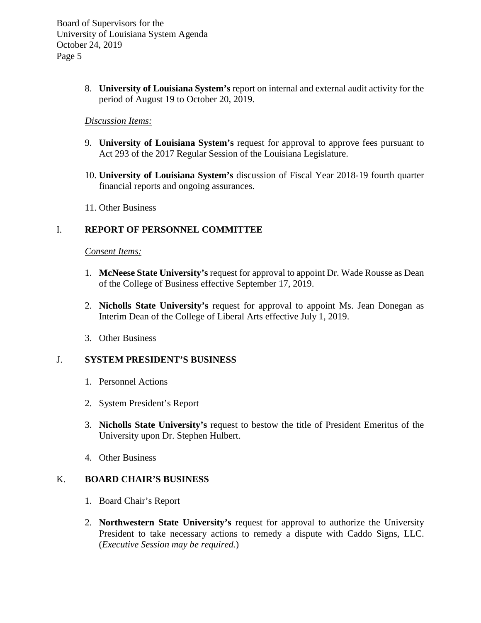> 8. **University of Louisiana System's** report on internal and external audit activity for the period of August 19 to October 20, 2019.

### *Discussion Items:*

- 9. **University of Louisiana System's** request for approval to approve fees pursuant to Act 293 of the 2017 Regular Session of the Louisiana Legislature.
- 10. **University of Louisiana System's** discussion of Fiscal Year 2018-19 fourth quarter financial reports and ongoing assurances.
- 11. Other Business

# I. **REPORT OF PERSONNEL COMMITTEE**

### *Consent Items:*

- 1. **McNeese State University's** request for approval to appoint Dr. Wade Rousse as Dean of the College of Business effective September 17, 2019.
- 2. **Nicholls State University's** request for approval to appoint Ms. Jean Donegan as Interim Dean of the College of Liberal Arts effective July 1, 2019.
- 3. Other Business

# J. **SYSTEM PRESIDENT'S BUSINESS**

- 1. Personnel Actions
- 2. System President's Report
- 3. **Nicholls State University's** request to bestow the title of President Emeritus of the University upon Dr. Stephen Hulbert.
- 4. Other Business

### K. **BOARD CHAIR'S BUSINESS**

- 1. Board Chair's Report
- 2. **Northwestern State University's** request for approval to authorize the University President to take necessary actions to remedy a dispute with Caddo Signs, LLC. (*Executive Session may be required.*)